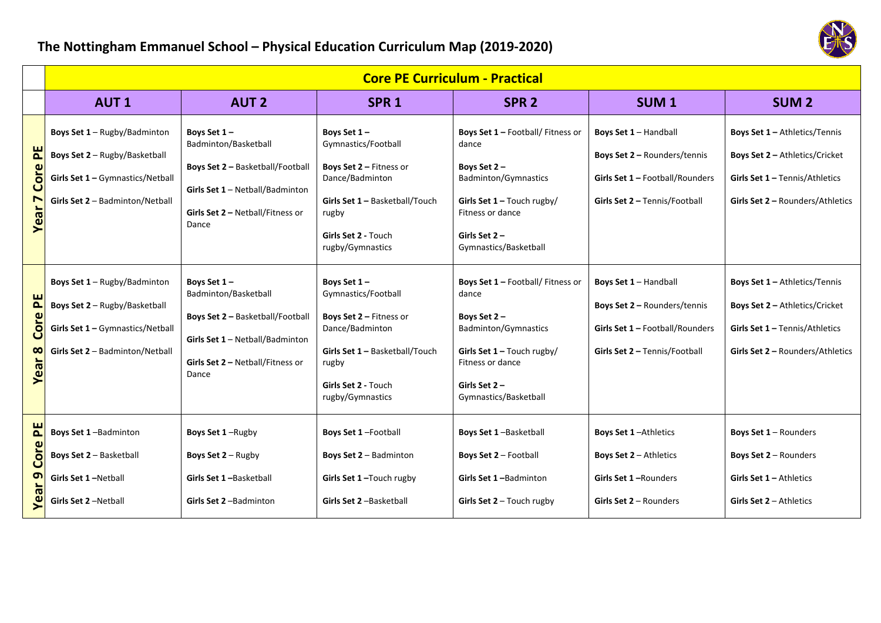## **The Nottingham Emmanuel School – Physical Education Curriculum Map (2019‐2020)**



|                                                    | <b>Core PE Curriculum - Practical</b>                                                                                                |                                                                                                                                                         |                                                                                                                                                                        |                                                                                                                                                                                          |                                                                                                                           |                                                                                                                                       |  |
|----------------------------------------------------|--------------------------------------------------------------------------------------------------------------------------------------|---------------------------------------------------------------------------------------------------------------------------------------------------------|------------------------------------------------------------------------------------------------------------------------------------------------------------------------|------------------------------------------------------------------------------------------------------------------------------------------------------------------------------------------|---------------------------------------------------------------------------------------------------------------------------|---------------------------------------------------------------------------------------------------------------------------------------|--|
|                                                    | <b>AUT1</b>                                                                                                                          | <b>AUT 2</b>                                                                                                                                            | SPR <sub>1</sub>                                                                                                                                                       | SPR <sub>2</sub>                                                                                                                                                                         | SUM <sub>1</sub>                                                                                                          | <b>SUM 2</b>                                                                                                                          |  |
| 뵌<br>ore<br>Ō<br>$\boldsymbol{\sigma}$<br>$\omega$ | Boys Set 1 - Rugby/Badminton<br>Boys Set 2 - Rugby/Basketball<br>Girls Set 1 - Gymnastics/Netball<br>Girls Set 2 - Badminton/Netball | Boys Set 1-<br>Badminton/Basketball<br>Boys Set 2 - Basketball/Football<br>Girls Set 1 - Netball/Badminton<br>Girls Set 2 - Netball/Fitness or<br>Dance | Boys Set 1-<br>Gymnastics/Football<br>Boys Set 2 - Fitness or<br>Dance/Badminton<br>Girls Set 1 - Basketball/Touch<br>rugby<br>Girls Set 2 - Touch<br>rugby/Gymnastics | Boys Set 1 - Football/ Fitness or<br>dance<br>Boys Set 2-<br><b>Badminton/Gymnastics</b><br>Girls Set $1 -$ Touch rugby/<br>Fitness or dance<br>Girls Set $2 -$<br>Gymnastics/Basketball | Boys Set 1 - Handball<br>Boys Set 2 - Rounders/tennis<br>Girls Set 1 - Football/Rounders<br>Girls Set 2 - Tennis/Football | Boys Set 1 - Athletics/Tennis<br>Boys Set 2 - Athletics/Cricket<br>Girls Set 1 - Tennis/Athletics<br>Girls Set 2 - Rounders/Athletics |  |
| FE<br>Cor<br>$\infty$<br>σ<br>$\omega$<br>≻        | Boys Set 1 - Rugby/Badminton<br>Boys Set 2 - Rugby/Basketball<br>Girls Set 1 - Gymnastics/Netball<br>Girls Set 2 - Badminton/Netball | Boys Set 1-<br>Badminton/Basketball<br>Boys Set 2 - Basketball/Football<br>Girls Set 1 - Netball/Badminton<br>Girls Set 2 - Netball/Fitness or<br>Dance | Boys Set 1-<br>Gymnastics/Football<br>Boys Set 2 - Fitness or<br>Dance/Badminton<br>Girls Set 1 - Basketball/Touch<br>rugby<br>Girls Set 2 - Touch<br>rugby/Gymnastics | Boys Set 1 - Football/ Fitness or<br>dance<br>Boys Set 2-<br>Badminton/Gymnastics<br>Girls Set $1 -$ Touch rugby/<br>Fitness or dance<br>Girls Set $2 -$<br>Gymnastics/Basketball        | Boys Set 1 - Handball<br>Boys Set 2 - Rounders/tennis<br>Girls Set 1 - Football/Rounders<br>Girls Set 2 - Tennis/Football | Boys Set 1 - Athletics/Tennis<br>Boys Set 2 - Athletics/Cricket<br>Girls Set 1 - Tennis/Athletics<br>Girls Set 2 - Rounders/Athletics |  |
| 논<br>Cor<br>თ                                      | Boys Set 1-Badminton<br>Boys Set 2 - Basketball<br>Girls Set 1-Netball<br>Girls Set 2-Netball                                        | Boys Set 1-Rugby<br><b>Boys Set 2 – Rugby</b><br>Girls Set 1-Basketball<br>Girls Set 2-Badminton                                                        | Boys Set 1-Football<br>Boys Set 2 - Badminton<br>Girls Set 1-Touch rugby<br>Girls Set 2-Basketball                                                                     | Boys Set 1-Basketball<br>Boys Set 2 - Football<br>Girls Set 1-Badminton<br>Girls Set $2 -$ Touch rugby                                                                                   | <b>Boys Set 1-Athletics</b><br><b>Boys Set 2 – Athletics</b><br>Girls Set 1-Rounders<br>Girls Set $2 -$ Rounders          | Boys Set 1 - Rounders<br>Boys Set 2 - Rounders<br>Girls Set 1 - Athletics<br>Girls Set $2 -$ Athletics                                |  |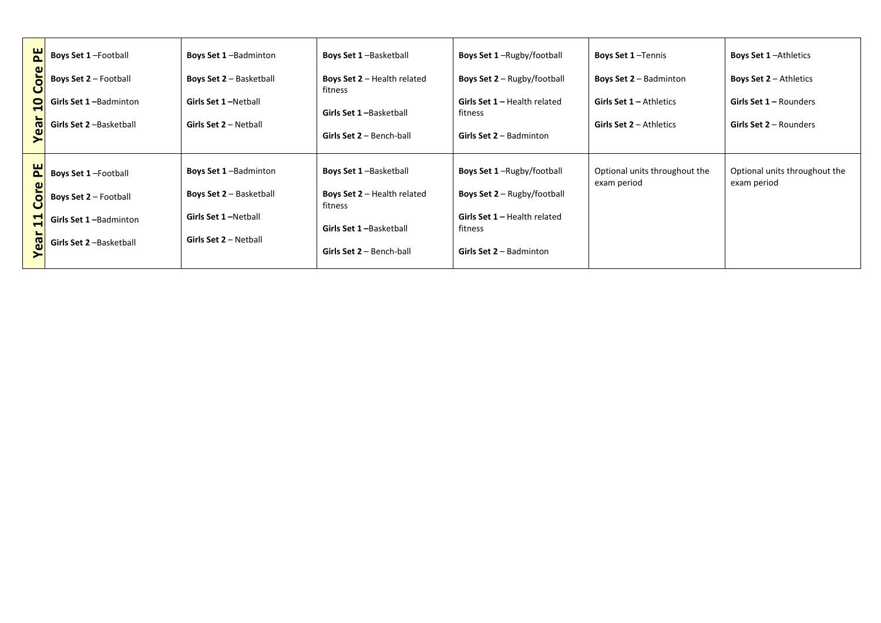| <b>Boys Set 1-Football</b>                                  | <b>Boys Set 1-Badminton</b>    | <b>Boys Set 1-Basketball</b>                    | <b>Boys Set 1-Rugby/football</b>               | <b>Boys Set 1-Tennis</b>                     | <b>Boys Set 1-Athletics</b>                  |
|-------------------------------------------------------------|--------------------------------|-------------------------------------------------|------------------------------------------------|----------------------------------------------|----------------------------------------------|
| ω<br><b>Boys Set 2 - Football</b><br>$\circ$                | <b>Boys Set 2 - Basketball</b> | <b>Boys Set 2 - Health related</b><br>fitness   | <b>Boys Set 2</b> - Rugby/football             | <b>Boys Set 2 – Badminton</b>                | <b>Boys Set 2 – Athletics</b>                |
| 0<br>Girls Set 1-Badminton                                  | Girls Set 1-Netball            | Girls Set 1-Basketball                          | <b>Girls Set 1 – Health related</b><br>fitness | <b>Girls Set 1 – Athletics</b>               | <b>Girls Set 1 - Rounders</b>                |
| Girls Set 2-Basketball<br>$\boldsymbol{\sigma}$<br>$\omega$ | Girls Set 2 - Netball          | <b>Girls Set 2 - Bench-ball</b>                 | Girls Set $2 -$ Badminton                      | <b>Girls Set 2 – Athletics</b>               | <b>Girls Set 2 – Rounders</b>                |
| PE<br><b>Boys Set 1-Football</b><br>$\boldsymbol{\omega}$   | <b>Boys Set 1-Badminton</b>    | <b>Boys Set 1-Basketball</b>                    | <b>Boys Set 1-Rugby/football</b>               | Optional units throughout the<br>exam period | Optional units throughout the<br>exam period |
| <b>Boys Set 2 – Football</b><br>$\circ$                     | <b>Boys Set 2 - Basketball</b> | <b>Boys Set 2</b> $-$ Health related<br>fitness | <b>Boys Set 2</b> – Rugby/football             |                                              |                                              |
| Girls Set 1-Badminton                                       | Girls Set 1-Netball            | Girls Set 1-Basketball                          | <b>Girls Set 1 - Health related</b><br>fitness |                                              |                                              |
| සි<br>Girls Set 2-Basketball                                | Girls Set $2 -$ Netball        | <b>Girls Set 2 - Bench-ball</b>                 | Girls Set $2 -$ Badminton                      |                                              |                                              |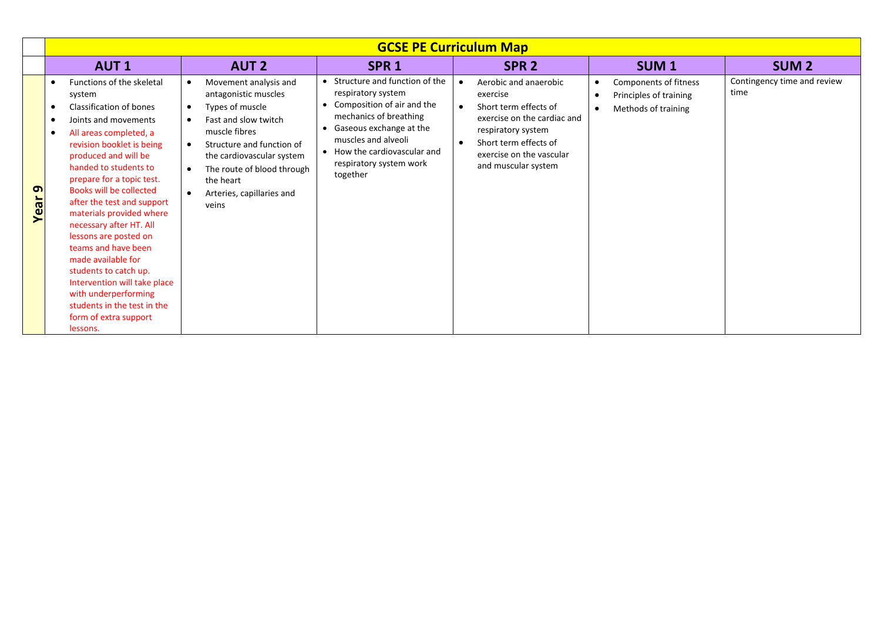| <b>GCSE PE Curriculum Map</b>                  |                                                                                                                                                                                                                                                                                                                                                                                                                                                                                                                                                                                     |                                                                                                                                                                                                                                                                   |                                                                                                                                                                                                                                        |                                                                                                                                                                                                          |                                                                                     |                                     |
|------------------------------------------------|-------------------------------------------------------------------------------------------------------------------------------------------------------------------------------------------------------------------------------------------------------------------------------------------------------------------------------------------------------------------------------------------------------------------------------------------------------------------------------------------------------------------------------------------------------------------------------------|-------------------------------------------------------------------------------------------------------------------------------------------------------------------------------------------------------------------------------------------------------------------|----------------------------------------------------------------------------------------------------------------------------------------------------------------------------------------------------------------------------------------|----------------------------------------------------------------------------------------------------------------------------------------------------------------------------------------------------------|-------------------------------------------------------------------------------------|-------------------------------------|
|                                                | <b>AUT1</b>                                                                                                                                                                                                                                                                                                                                                                                                                                                                                                                                                                         | <b>AUT 2</b>                                                                                                                                                                                                                                                      | SPR <sub>1</sub>                                                                                                                                                                                                                       | SPR <sub>2</sub>                                                                                                                                                                                         | <b>SUM1</b>                                                                         | <b>SUM2</b>                         |
| ິ ຕ<br>$\vec{a}$<br>$\boldsymbol{\omega}$<br>⋝ | Functions of the skeletal<br>system<br>Classification of bones<br>Joints and movements<br>All areas completed, a<br>$\bullet$<br>revision booklet is being<br>produced and will be<br>handed to students to<br>prepare for a topic test.<br>Books will be collected<br>after the test and support<br>materials provided where<br>necessary after HT. All<br>lessons are posted on<br>teams and have been<br>made available for<br>students to catch up.<br>Intervention will take place<br>with underperforming<br>students in the test in the<br>form of extra support<br>lessons. | Movement analysis and<br>antagonistic muscles<br>Types of muscle<br>Fast and slow twitch<br>muscle fibres<br>Structure and function of<br>$\bullet$<br>the cardiovascular system<br>The route of blood through<br>the heart<br>Arteries, capillaries and<br>veins | • Structure and function of the<br>respiratory system<br>Composition of air and the<br>mechanics of breathing<br>Gaseous exchange at the<br>muscles and alveoli<br>• How the cardiovascular and<br>respiratory system work<br>together | Aerobic and anaerobic<br>exercise<br>Short term effects of<br>exercise on the cardiac and<br>respiratory system<br>Short term effects of<br>$\bullet$<br>exercise on the vascular<br>and muscular system | Components of fitness<br>Principles of training<br>$\bullet$<br>Methods of training | Contingency time and review<br>time |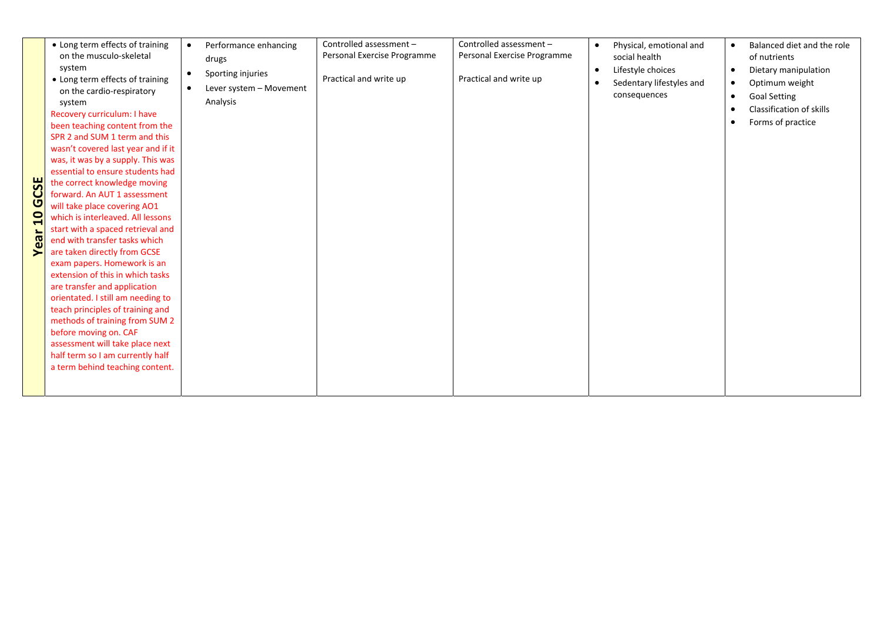|                | • Long term effects of training    | Performance enhancing<br>$\bullet$   | Controlled assessment -     | Controlled assessment -     | $\bullet$ | Physical, emotional and  | $\bullet$ | Balanced diet and the role |
|----------------|------------------------------------|--------------------------------------|-----------------------------|-----------------------------|-----------|--------------------------|-----------|----------------------------|
|                | on the musculo-skeletal            | drugs                                | Personal Exercise Programme | Personal Exercise Programme |           | social health            |           | of nutrients               |
|                | system                             |                                      |                             |                             | $\bullet$ | Lifestyle choices        | $\bullet$ | Dietary manipulation       |
|                | • Long term effects of training    | Sporting injuries<br>$\bullet$       | Practical and write up      | Practical and write up      |           | Sedentary lifestyles and | $\bullet$ | Optimum weight             |
|                | on the cardio-respiratory          | $\bullet$<br>Lever system - Movement |                             |                             |           | consequences             |           |                            |
|                | system                             | Analysis                             |                             |                             |           |                          | $\bullet$ | <b>Goal Setting</b>        |
|                | Recovery curriculum: I have        |                                      |                             |                             |           |                          |           | Classification of skills   |
|                | been teaching content from the     |                                      |                             |                             |           |                          | $\bullet$ | Forms of practice          |
|                | SPR 2 and SUM 1 term and this      |                                      |                             |                             |           |                          |           |                            |
|                | wasn't covered last year and if it |                                      |                             |                             |           |                          |           |                            |
|                | was, it was by a supply. This was  |                                      |                             |                             |           |                          |           |                            |
|                | essential to ensure students had   |                                      |                             |                             |           |                          |           |                            |
| <b>GCSE</b>    | the correct knowledge moving       |                                      |                             |                             |           |                          |           |                            |
|                | forward. An AUT 1 assessment       |                                      |                             |                             |           |                          |           |                            |
|                | will take place covering AO1       |                                      |                             |                             |           |                          |           |                            |
| $\overline{a}$ | which is interleaved. All lessons  |                                      |                             |                             |           |                          |           |                            |
|                | start with a spaced retrieval and  |                                      |                             |                             |           |                          |           |                            |
| Year           | end with transfer tasks which      |                                      |                             |                             |           |                          |           |                            |
|                | are taken directly from GCSE       |                                      |                             |                             |           |                          |           |                            |
|                | exam papers. Homework is an        |                                      |                             |                             |           |                          |           |                            |
|                | extension of this in which tasks   |                                      |                             |                             |           |                          |           |                            |
|                | are transfer and application       |                                      |                             |                             |           |                          |           |                            |
|                | orientated. I still am needing to  |                                      |                             |                             |           |                          |           |                            |
|                | teach principles of training and   |                                      |                             |                             |           |                          |           |                            |
|                | methods of training from SUM 2     |                                      |                             |                             |           |                          |           |                            |
|                | before moving on. CAF              |                                      |                             |                             |           |                          |           |                            |
|                | assessment will take place next    |                                      |                             |                             |           |                          |           |                            |
|                | half term so I am currently half   |                                      |                             |                             |           |                          |           |                            |
|                | a term behind teaching content.    |                                      |                             |                             |           |                          |           |                            |
|                |                                    |                                      |                             |                             |           |                          |           |                            |
|                |                                    |                                      |                             |                             |           |                          |           |                            |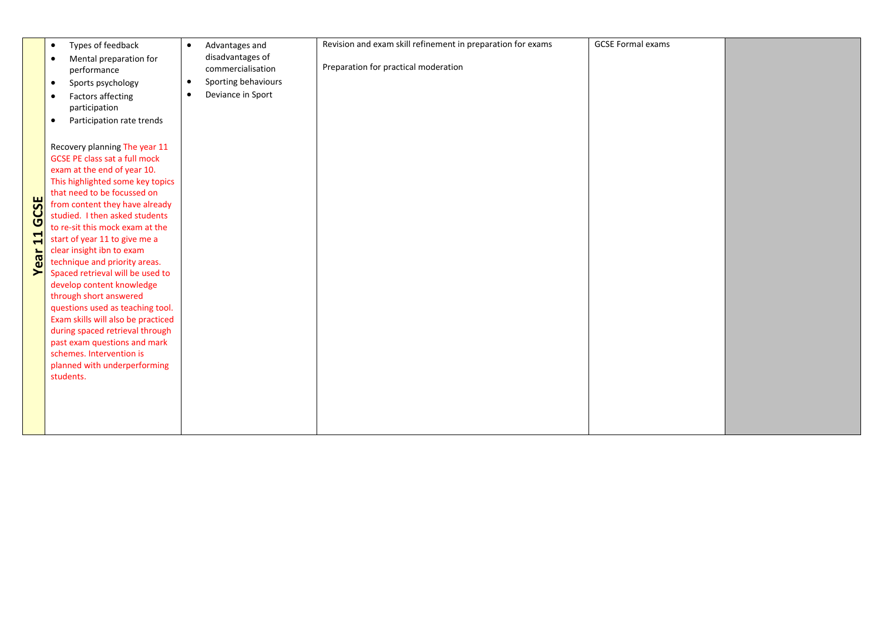|                | Types of feedback<br>$\bullet$         | Advantages and<br>$\bullet$      | Revision and exam skill refinement in preparation for exams | <b>GCSE Formal exams</b> |  |
|----------------|----------------------------------------|----------------------------------|-------------------------------------------------------------|--------------------------|--|
|                | Mental preparation for<br>$\bullet$    | disadvantages of                 |                                                             |                          |  |
|                | performance                            | commercialisation                | Preparation for practical moderation                        |                          |  |
|                | Sports psychology<br>$\bullet$         | Sporting behaviours<br>$\bullet$ |                                                             |                          |  |
|                |                                        | Deviance in Sport<br>$\bullet$   |                                                             |                          |  |
|                | <b>Factors affecting</b><br>$\bullet$  |                                  |                                                             |                          |  |
|                | participation                          |                                  |                                                             |                          |  |
|                | Participation rate trends<br>$\bullet$ |                                  |                                                             |                          |  |
|                | Recovery planning The year 11          |                                  |                                                             |                          |  |
|                | <b>GCSE PE class sat a full mock</b>   |                                  |                                                             |                          |  |
|                | exam at the end of year 10.            |                                  |                                                             |                          |  |
|                | This highlighted some key topics       |                                  |                                                             |                          |  |
|                | that need to be focussed on            |                                  |                                                             |                          |  |
|                | from content they have already         |                                  |                                                             |                          |  |
| GCSE           | studied. I then asked students         |                                  |                                                             |                          |  |
|                | to re-sit this mock exam at the        |                                  |                                                             |                          |  |
|                | start of year 11 to give me a          |                                  |                                                             |                          |  |
| <b>Year 11</b> | clear insight ibn to exam              |                                  |                                                             |                          |  |
|                | technique and priority areas.          |                                  |                                                             |                          |  |
|                | Spaced retrieval will be used to       |                                  |                                                             |                          |  |
|                | develop content knowledge              |                                  |                                                             |                          |  |
|                | through short answered                 |                                  |                                                             |                          |  |
|                | questions used as teaching tool.       |                                  |                                                             |                          |  |
|                | Exam skills will also be practiced     |                                  |                                                             |                          |  |
|                | during spaced retrieval through        |                                  |                                                             |                          |  |
|                | past exam questions and mark           |                                  |                                                             |                          |  |
|                | schemes. Intervention is               |                                  |                                                             |                          |  |
|                | planned with underperforming           |                                  |                                                             |                          |  |
|                | students.                              |                                  |                                                             |                          |  |
|                |                                        |                                  |                                                             |                          |  |
|                |                                        |                                  |                                                             |                          |  |
|                |                                        |                                  |                                                             |                          |  |
|                |                                        |                                  |                                                             |                          |  |
|                |                                        |                                  |                                                             |                          |  |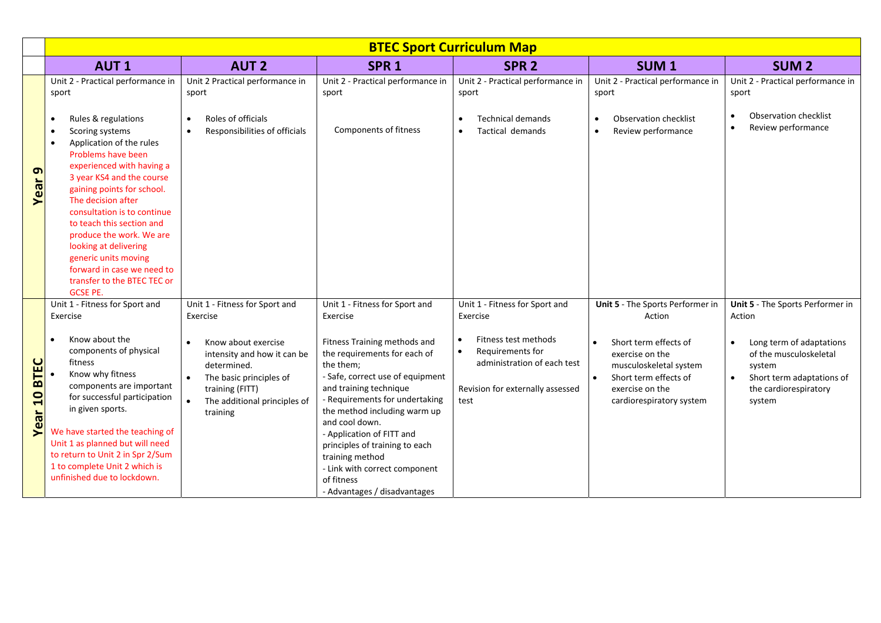|                                       | <b>BTEC Sport Curriculum Map</b>                                                                                                                                                                                                                                                                                                                                                                                                                          |                                                                                                                                                                                                           |                                                                                                                                                                                                                                                                                                                                                                                              |                                                                                                                                                                   |                                                                                                                                                                                          |                                                                                                                                                                                         |
|---------------------------------------|-----------------------------------------------------------------------------------------------------------------------------------------------------------------------------------------------------------------------------------------------------------------------------------------------------------------------------------------------------------------------------------------------------------------------------------------------------------|-----------------------------------------------------------------------------------------------------------------------------------------------------------------------------------------------------------|----------------------------------------------------------------------------------------------------------------------------------------------------------------------------------------------------------------------------------------------------------------------------------------------------------------------------------------------------------------------------------------------|-------------------------------------------------------------------------------------------------------------------------------------------------------------------|------------------------------------------------------------------------------------------------------------------------------------------------------------------------------------------|-----------------------------------------------------------------------------------------------------------------------------------------------------------------------------------------|
|                                       | <b>AUT1</b>                                                                                                                                                                                                                                                                                                                                                                                                                                               | <b>AUT 2</b>                                                                                                                                                                                              | SPR <sub>1</sub>                                                                                                                                                                                                                                                                                                                                                                             | SPR <sub>2</sub>                                                                                                                                                  | SUM <sub>1</sub>                                                                                                                                                                         | SUM <sub>2</sub>                                                                                                                                                                        |
|                                       | Unit 2 - Practical performance in<br>sport                                                                                                                                                                                                                                                                                                                                                                                                                | Unit 2 Practical performance in<br>sport                                                                                                                                                                  | Unit 2 - Practical performance in<br>sport                                                                                                                                                                                                                                                                                                                                                   | Unit 2 - Practical performance in<br>sport                                                                                                                        | Unit 2 - Practical performance in<br>sport                                                                                                                                               | Unit 2 - Practical performance in<br>sport                                                                                                                                              |
| $\sigma$<br>Year                      | Rules & regulations<br>$\bullet$<br>Scoring systems<br>Application of the rules<br>$\bullet$<br>Problems have been<br>experienced with having a<br>3 year KS4 and the course<br>gaining points for school.<br>The decision after<br>consultation is to continue<br>to teach this section and<br>produce the work. We are<br>looking at delivering<br>generic units moving<br>forward in case we need to<br>transfer to the BTEC TEC or<br><b>GCSE PE.</b> | Roles of officials<br>$\bullet$<br>Responsibilities of officials<br>$\bullet$                                                                                                                             | Components of fitness                                                                                                                                                                                                                                                                                                                                                                        | <b>Technical demands</b><br>$\bullet$<br><b>Tactical demands</b><br>$\bullet$                                                                                     | <b>Observation checklist</b><br>$\bullet$<br>Review performance<br>$\bullet$                                                                                                             | <b>Observation checklist</b><br>$\bullet$<br>Review performance<br>$\bullet$                                                                                                            |
| <b>BTEC</b><br>$\overline{a}$<br>Year | Unit 1 - Fitness for Sport and<br>Exercise<br>Know about the<br>components of physical<br>fitness<br>Know why fitness<br>components are important<br>for successful participation<br>in given sports.<br>We have started the teaching of<br>Unit 1 as planned but will need<br>to return to Unit 2 in Spr 2/Sum<br>1 to complete Unit 2 which is                                                                                                          | Unit 1 - Fitness for Sport and<br>Exercise<br>Know about exercise<br>intensity and how it can be<br>determined.<br>The basic principles of<br>training (FITT)<br>The additional principles of<br>training | Unit 1 - Fitness for Sport and<br>Exercise<br>Fitness Training methods and<br>the requirements for each of<br>the them;<br>- Safe, correct use of equipment<br>and training technique<br>- Requirements for undertaking<br>the method including warm up<br>and cool down.<br>- Application of FITT and<br>principles of training to each<br>training method<br>- Link with correct component | Unit 1 - Fitness for Sport and<br>Exercise<br>Fitness test methods<br>Requirements for<br>administration of each test<br>Revision for externally assessed<br>test | Unit 5 - The Sports Performer in<br>Action<br>Short term effects of<br>exercise on the<br>musculoskeletal system<br>Short term effects of<br>exercise on the<br>cardiorespiratory system | Unit 5 - The Sports Performer in<br>Action<br>Long term of adaptations<br>$\bullet$<br>of the musculoskeletal<br>system<br>Short term adaptations of<br>the cardiorespiratory<br>system |
|                                       | unfinished due to lockdown.                                                                                                                                                                                                                                                                                                                                                                                                                               |                                                                                                                                                                                                           | of fitness<br>- Advantages / disadvantages                                                                                                                                                                                                                                                                                                                                                   |                                                                                                                                                                   |                                                                                                                                                                                          |                                                                                                                                                                                         |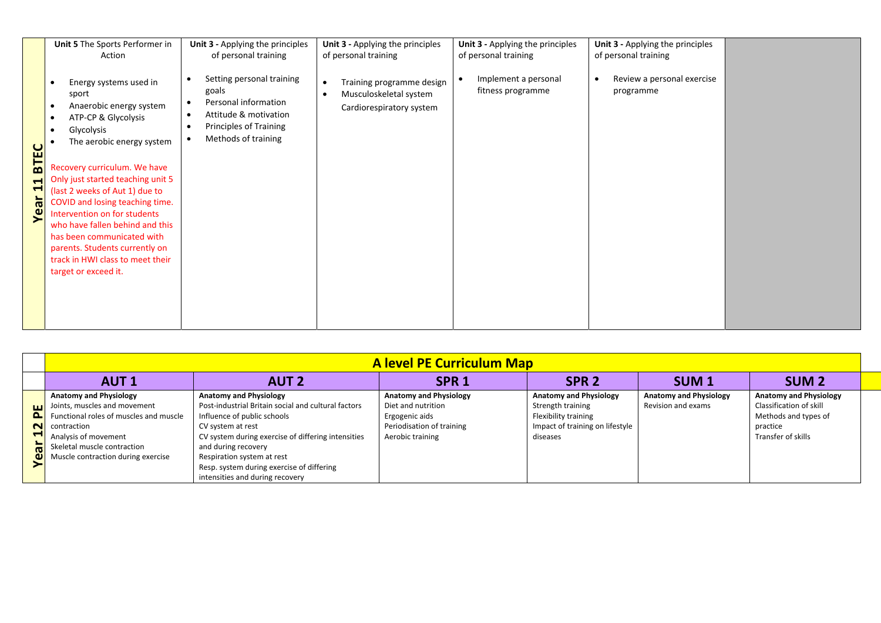| <b>BTEC</b><br>$\blacktriangleright$<br>H<br>ಕ<br>Φ | Unit 5 The Sports Performer in<br>Action<br>Energy systems used in<br>$\bullet$<br>sport<br>Anaerobic energy system<br>$\bullet$<br>ATP-CP & Glycolysis<br>$\bullet$<br>Glycolysis<br>$\bullet$<br>The aerobic energy system<br>Recovery curriculum. We have<br>Only just started teaching unit 5<br>(last 2 weeks of Aut 1) due to<br>COVID and losing teaching time.<br>Intervention on for students<br>who have fallen behind and this<br>has been communicated with<br>parents. Students currently on<br>track in HWI class to meet their<br>target or exceed it. | Unit 3 - Applying the principles<br>of personal training<br>Setting personal training<br>$\bullet$<br>goals<br>Personal information<br>$\bullet$<br>Attitude & motivation<br>$\bullet$<br>Principles of Training<br>٠<br>Methods of training<br>٠ | Unit 3 - Applying the principles<br>of personal training<br>Training programme design<br>Musculoskeletal system<br>Cardiorespiratory system | Unit 3 - Applying the principles<br>of personal training<br>Implement a personal<br>fitness programme | Unit 3 - Applying the principles<br>of personal training<br>Review a personal exercise<br>programme |  |
|-----------------------------------------------------|-----------------------------------------------------------------------------------------------------------------------------------------------------------------------------------------------------------------------------------------------------------------------------------------------------------------------------------------------------------------------------------------------------------------------------------------------------------------------------------------------------------------------------------------------------------------------|---------------------------------------------------------------------------------------------------------------------------------------------------------------------------------------------------------------------------------------------------|---------------------------------------------------------------------------------------------------------------------------------------------|-------------------------------------------------------------------------------------------------------|-----------------------------------------------------------------------------------------------------|--|
|                                                     |                                                                                                                                                                                                                                                                                                                                                                                                                                                                                                                                                                       |                                                                                                                                                                                                                                                   |                                                                                                                                             |                                                                                                       |                                                                                                     |  |

|                | <b>A level PE Curriculum Map</b>       |                                                     |                               |                                 |                               |                               |  |
|----------------|----------------------------------------|-----------------------------------------------------|-------------------------------|---------------------------------|-------------------------------|-------------------------------|--|
|                | <b>AUT1</b>                            | <b>AUT 2</b>                                        | SPR <sub>1</sub>              | SPR <sub>2</sub>                | SUM <sub>1</sub>              | SUM <sub>2</sub>              |  |
|                | <b>Anatomy and Physiology</b>          | <b>Anatomy and Physiology</b>                       | <b>Anatomy and Physiology</b> | <b>Anatomy and Physiology</b>   | <b>Anatomy and Physiology</b> | <b>Anatomy and Physiology</b> |  |
| ш              | Joints, muscles and movement           | Post-industrial Britain social and cultural factors | Diet and nutrition            | Strength training               | Revision and exams            | Classification of skill       |  |
| ௨              | Functional roles of muscles and muscle | Influence of public schools                         | Ergogenic aids                | <b>Flexibility training</b>     |                               | Methods and types of          |  |
|                | N contraction                          | CV system at rest                                   | Periodisation of training     | Impact of training on lifestyle |                               | practice                      |  |
| − 1            | Analysis of movement                   | CV system during exercise of differing intensities  | Aerobic training              | diseases                        |                               | Transfer of skills            |  |
| $\overline{5}$ | Skeletal muscle contraction            | and during recovery                                 |                               |                                 |                               |                               |  |
|                | Muscle contraction during exercise     | Respiration system at rest                          |                               |                                 |                               |                               |  |
|                |                                        | Resp. system during exercise of differing           |                               |                                 |                               |                               |  |
|                |                                        | intensities and during recovery                     |                               |                                 |                               |                               |  |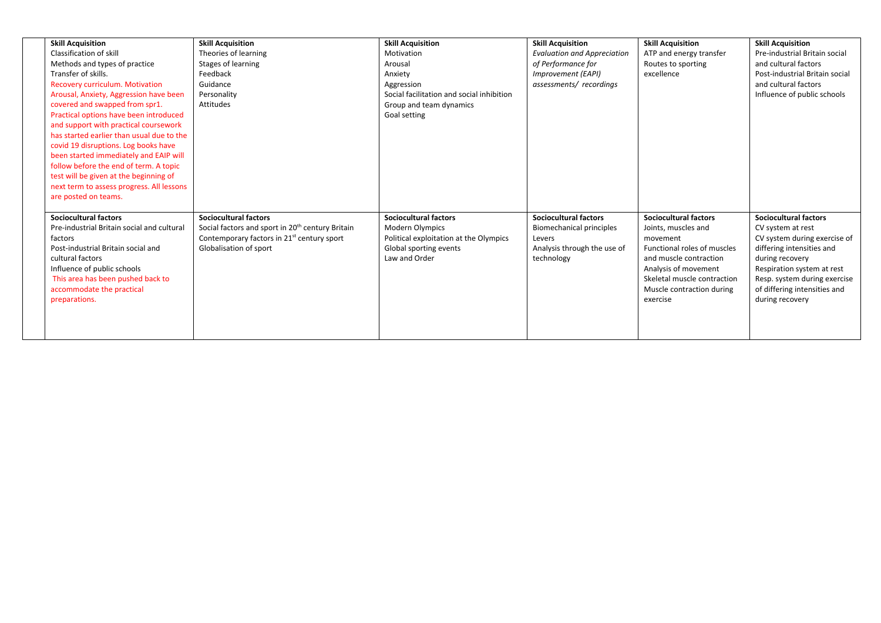| <b>Skill Acquisition</b>                   | <b>Skill Acquisition</b>                                     | <b>Skill Acquisition</b>                  | <b>Skill Acquisition</b>           | <b>Skill Acquisition</b>     | <b>Skill Acquisition</b>       |
|--------------------------------------------|--------------------------------------------------------------|-------------------------------------------|------------------------------------|------------------------------|--------------------------------|
| Classification of skill                    | Theories of learning                                         | Motivation                                | <b>Evaluation and Appreciation</b> | ATP and energy transfer      | Pre-industrial Britain social  |
| Methods and types of practice              | Stages of learning                                           | Arousal                                   | of Performance for                 | Routes to sporting           | and cultural factors           |
| Transfer of skills.                        | Feedback                                                     | Anxiety                                   | Improvement (EAPI)                 | excellence                   | Post-industrial Britain social |
| <b>Recovery curriculum. Motivation</b>     | Guidance                                                     | Aggression                                | assessments/recordings             |                              | and cultural factors           |
| Arousal, Anxiety, Aggression have been     | Personality                                                  | Social facilitation and social inhibition |                                    |                              | Influence of public schools    |
| covered and swapped from spr1.             | Attitudes                                                    | Group and team dynamics                   |                                    |                              |                                |
| Practical options have been introduced     |                                                              | Goal setting                              |                                    |                              |                                |
| and support with practical coursework      |                                                              |                                           |                                    |                              |                                |
| has started earlier than usual due to the  |                                                              |                                           |                                    |                              |                                |
| covid 19 disruptions. Log books have       |                                                              |                                           |                                    |                              |                                |
| been started immediately and EAIP will     |                                                              |                                           |                                    |                              |                                |
| follow before the end of term. A topic     |                                                              |                                           |                                    |                              |                                |
| test will be given at the beginning of     |                                                              |                                           |                                    |                              |                                |
| next term to assess progress. All lessons  |                                                              |                                           |                                    |                              |                                |
| are posted on teams.                       |                                                              |                                           |                                    |                              |                                |
|                                            |                                                              |                                           |                                    |                              |                                |
| <b>Sociocultural factors</b>               | <b>Sociocultural factors</b>                                 | <b>Sociocultural factors</b>              | <b>Sociocultural factors</b>       | <b>Sociocultural factors</b> | <b>Sociocultural factors</b>   |
| Pre-industrial Britain social and cultural | Social factors and sport in 20 <sup>th</sup> century Britain | <b>Modern Olympics</b>                    | Biomechanical principles           | Joints, muscles and          | CV system at rest              |
| factors                                    | Contemporary factors in 21 <sup>st</sup> century sport       | Political exploitation at the Olympics    | Levers                             | movement                     | CV system during exercise of   |
| Post-industrial Britain social and         | Globalisation of sport                                       | Global sporting events                    | Analysis through the use of        | Functional roles of muscles  | differing intensities and      |
| cultural factors                           |                                                              | Law and Order                             | technology                         | and muscle contraction       | during recovery                |
| Influence of public schools                |                                                              |                                           |                                    | Analysis of movement         | Respiration system at rest     |
| This area has been pushed back to          |                                                              |                                           |                                    | Skeletal muscle contraction  | Resp. system during exercise   |
| accommodate the practical                  |                                                              |                                           |                                    | Muscle contraction during    | of differing intensities and   |
| preparations.                              |                                                              |                                           |                                    | exercise                     | during recovery                |
|                                            |                                                              |                                           |                                    |                              |                                |
|                                            |                                                              |                                           |                                    |                              |                                |
|                                            |                                                              |                                           |                                    |                              |                                |